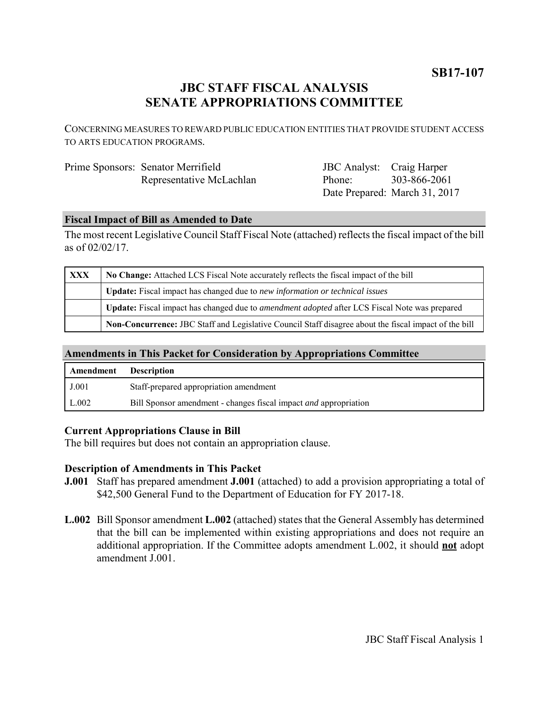## **JBC STAFF FISCAL ANALYSIS SENATE APPROPRIATIONS COMMITTEE**

CONCERNING MEASURES TO REWARD PUBLIC EDUCATION ENTITIES THAT PROVIDE STUDENT ACCESS TO ARTS EDUCATION PROGRAMS.

| Prime Sponsors: Senator Merrifield | JBC Analyst: Craig Harper |                               |
|------------------------------------|---------------------------|-------------------------------|
| Representative McLachlan           | Phone:                    | 303-866-2061                  |
|                                    |                           | Date Prepared: March 31, 2017 |

### **Fiscal Impact of Bill as Amended to Date**

The most recent Legislative Council Staff Fiscal Note (attached) reflects the fiscal impact of the bill as of 02/02/17.

| XXX | No Change: Attached LCS Fiscal Note accurately reflects the fiscal impact of the bill                 |  |
|-----|-------------------------------------------------------------------------------------------------------|--|
|     | Update: Fiscal impact has changed due to new information or technical issues                          |  |
|     | Update: Fiscal impact has changed due to <i>amendment adopted</i> after LCS Fiscal Note was prepared  |  |
|     | Non-Concurrence: JBC Staff and Legislative Council Staff disagree about the fiscal impact of the bill |  |

### **Amendments in This Packet for Consideration by Appropriations Committee**

| Amendment | <b>Description</b>                                                      |
|-----------|-------------------------------------------------------------------------|
| J.001     | Staff-prepared appropriation amendment                                  |
| L.002     | Bill Sponsor amendment - changes fiscal impact <i>and</i> appropriation |

#### **Current Appropriations Clause in Bill**

The bill requires but does not contain an appropriation clause.

## **Description of Amendments in This Packet**

- **J.001** Staff has prepared amendment **J.001** (attached) to add a provision appropriating a total of \$42,500 General Fund to the Department of Education for FY 2017-18.
- **L.002** Bill Sponsor amendment **L.002** (attached) states that the General Assembly has determined that the bill can be implemented within existing appropriations and does not require an additional appropriation. If the Committee adopts amendment L.002, it should **not** adopt amendment J.001.